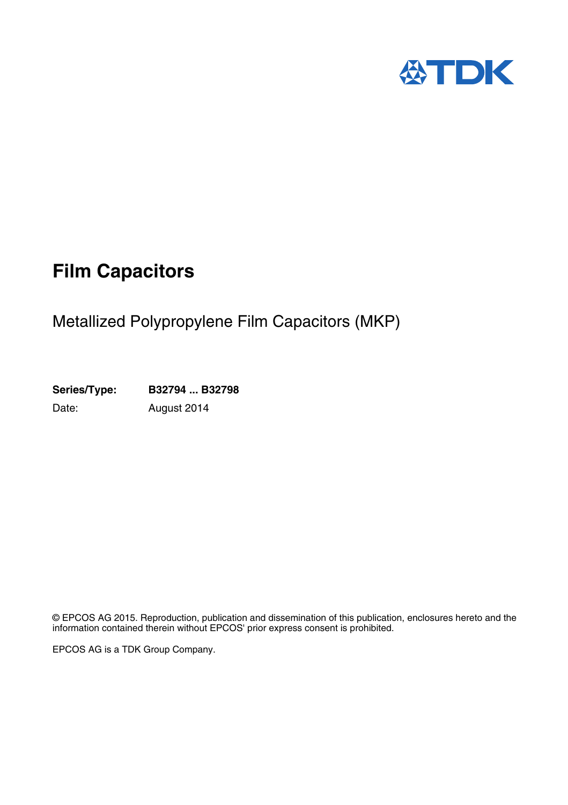

## **Film Capacitors**

## Metallized Polypropylene Film Capacitors (MKP)

**Series/Type: B32794 ... B32798** Date: August 2014

© EPCOS AG 2015. Reproduction, publication and dissemination of this publication, enclosures hereto and the information contained therein without EPCOS' prior express consent is prohibited.

EPCOS AG is a TDK Group Company.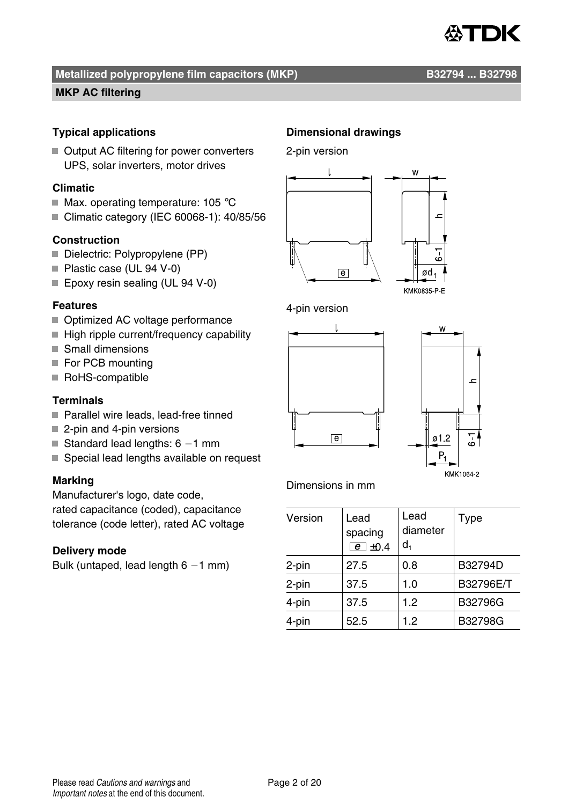

#### **Metallized polypropylene film capacitors (MKP)** B32794 ... B32798

#### **MKP AC filtering**

#### **Typical applications**

■ Output AC filtering for power converters UPS, solar inverters, motor drives

#### **Climatic**

- $\blacksquare$  Max. operating temperature: 105 °C
- Climatic category (IEC 60068-1): 40/85/56

#### **Construction**

- Dielectric: Polypropylene (PP)
- Plastic case (UL 94 V-0)
- Epoxy resin sealing (UL 94 V-0)

#### **Features**

- Optimized AC voltage performance
- $\blacksquare$  High ripple current/frequency capability
- Small dimensions
- For PCB mounting
- RoHS-compatible

#### **Terminals**

- Parallel wire leads, lead-free tinned
- 2-pin and 4-pin versions
- Standard lead lengths:  $6 1$  mm
- Special lead lengths available on request

#### **Marking**

Manufacturer's logo, date code, rated capacitance (coded), capacitance tolerance (code letter), rated AC voltage

#### **Delivery mode**

Bulk (untaped, lead length  $6 - 1$  mm)

#### **Dimensional drawings**

2-pin version











—<br>;^

#### Dimensions in mm

| Version | Lead<br>spacing<br>$e$ $\pm$ 0.4 | Lead<br>diameter<br>d, | Type      |
|---------|----------------------------------|------------------------|-----------|
| 2-pin   | 27.5                             | 0.8                    | B32794D   |
| 2-pin   | 37.5                             | 1.0                    | B32796E/T |
| 4-pin   | 37.5                             | 1.2                    | B32796G   |
| 4-pin   | 52.5                             | 1.2                    | B32798G   |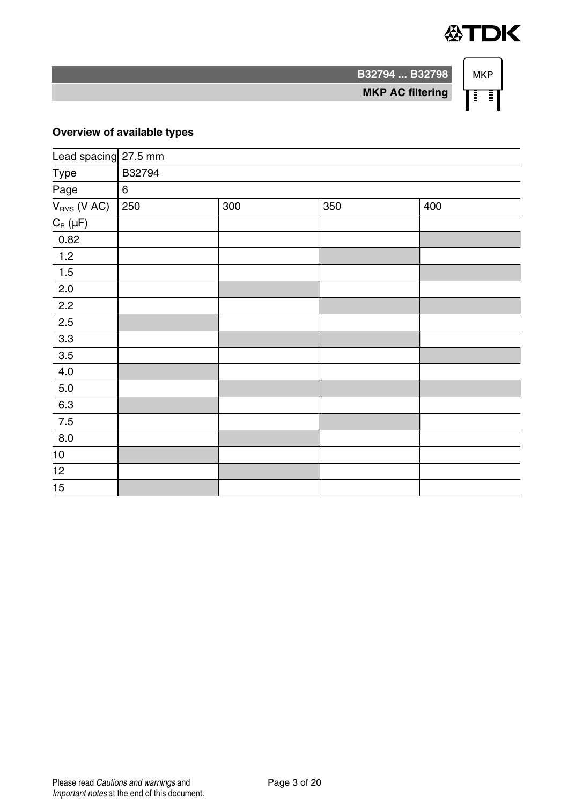

**MKP** ा

**B32794 ... B32798**

**MKP AC filtering**

#### **Overview of available types**

| Lead spacing 27.5 mm        |        |     |     |     |  |  |  |  |
|-----------------------------|--------|-----|-----|-----|--|--|--|--|
| Type                        | B32794 |     |     |     |  |  |  |  |
| Page                        | 6      |     |     |     |  |  |  |  |
| $V_{RMS}$ (V AC)            | 250    | 300 | 350 | 400 |  |  |  |  |
| $C_{\textrm{R}}$ ( $\mu$ F) |        |     |     |     |  |  |  |  |
| 0.82                        |        |     |     |     |  |  |  |  |
| $\overline{1.2}$            |        |     |     |     |  |  |  |  |
| 1.5                         |        |     |     |     |  |  |  |  |
| 2.0                         |        |     |     |     |  |  |  |  |
| $2.2\,$                     |        |     |     |     |  |  |  |  |
| 2.5                         |        |     |     |     |  |  |  |  |
| $3.3\,$                     |        |     |     |     |  |  |  |  |
| $3.5\,$                     |        |     |     |     |  |  |  |  |
| $4.0\,$                     |        |     |     |     |  |  |  |  |
| $5.0\,$                     |        |     |     |     |  |  |  |  |
| 6.3                         |        |     |     |     |  |  |  |  |
| $7.5$                       |        |     |     |     |  |  |  |  |
| 8.0                         |        |     |     |     |  |  |  |  |
| $10\,$                      |        |     |     |     |  |  |  |  |
| $\overline{12}$             |        |     |     |     |  |  |  |  |
| $\overline{15}$             |        |     |     |     |  |  |  |  |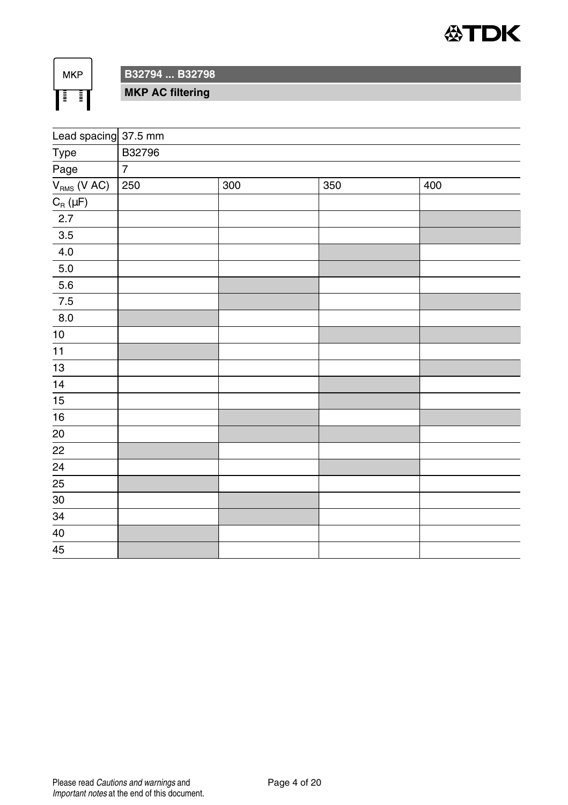

**MKP** 旧旧

**B32794 ... B32798**

**MKP AC filtering**

| Lead spacing 37.5 mm |                |     |                  |     |  |  |  |  |  |
|----------------------|----------------|-----|------------------|-----|--|--|--|--|--|
| Type                 | B32796         |     |                  |     |  |  |  |  |  |
| Page                 | $\overline{7}$ |     |                  |     |  |  |  |  |  |
| $V_{RMS}$ ( $VAC$ )  | 250            | 300 | $\overline{350}$ | 400 |  |  |  |  |  |
| $C_R(\mu F)$         |                |     |                  |     |  |  |  |  |  |
| 2.7                  |                |     |                  |     |  |  |  |  |  |
| $3.5\,$              |                |     |                  |     |  |  |  |  |  |
| $4.0\,$              |                |     |                  |     |  |  |  |  |  |
| $5.0\,$              |                |     |                  |     |  |  |  |  |  |
| $5.6\,$              |                |     |                  |     |  |  |  |  |  |
| 7.5                  |                |     |                  |     |  |  |  |  |  |
| $_{\rm 8.0}$         |                |     |                  |     |  |  |  |  |  |
| $10$                 |                |     |                  |     |  |  |  |  |  |
| 11                   |                |     |                  |     |  |  |  |  |  |
| 13                   |                |     |                  |     |  |  |  |  |  |
| 14                   |                |     |                  |     |  |  |  |  |  |
| 15                   |                |     |                  |     |  |  |  |  |  |
| $\overline{16}$      |                |     |                  |     |  |  |  |  |  |
| $\frac{20}{22}$      |                |     |                  |     |  |  |  |  |  |
|                      |                |     |                  |     |  |  |  |  |  |
| $\overline{24}$      |                |     |                  |     |  |  |  |  |  |
| $\overline{25}$      |                |     |                  |     |  |  |  |  |  |
| $30\,$               |                |     |                  |     |  |  |  |  |  |
| 34                   |                |     |                  |     |  |  |  |  |  |
| $40\,$               |                |     |                  |     |  |  |  |  |  |
| 45                   |                |     |                  |     |  |  |  |  |  |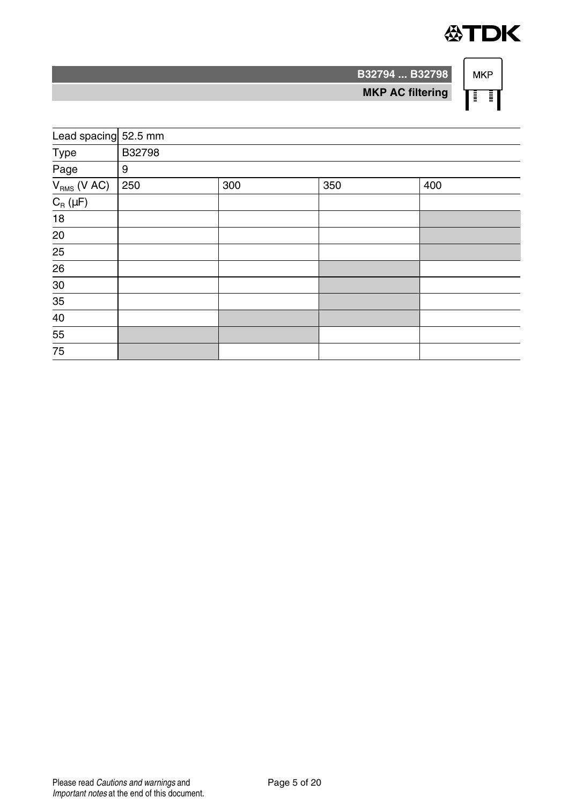

ा

**B32794 ... B32798 MKP** 

**MKP AC filtering**

| Lead spacing 52.5 mm              |        |     |     |     |  |  |  |  |
|-----------------------------------|--------|-----|-----|-----|--|--|--|--|
| Type                              | B32798 |     |     |     |  |  |  |  |
| Page                              | 9      |     |     |     |  |  |  |  |
| $V_{RMS}$ (V AC)                  | 250    | 300 | 350 | 400 |  |  |  |  |
| $C_{\textrm{\tiny R}}$ ( $\mu$ F) |        |     |     |     |  |  |  |  |
| $18\,$                            |        |     |     |     |  |  |  |  |
| 20                                |        |     |     |     |  |  |  |  |
| $\overline{25}$                   |        |     |     |     |  |  |  |  |
| 26                                |        |     |     |     |  |  |  |  |
| 30                                |        |     |     |     |  |  |  |  |
| 35                                |        |     |     |     |  |  |  |  |
| $\overline{40}$                   |        |     |     |     |  |  |  |  |
| $\overline{55}$                   |        |     |     |     |  |  |  |  |
| 75                                |        |     |     |     |  |  |  |  |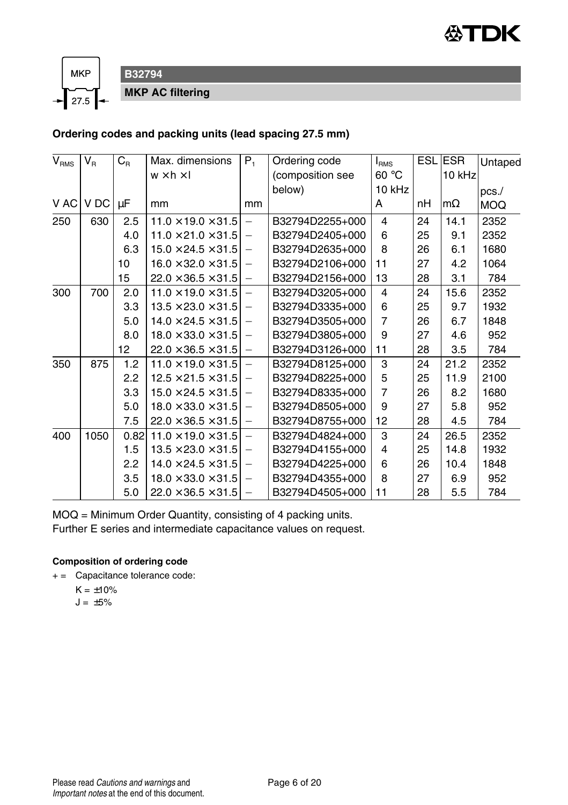



**B32794 MKP AC filtering**

#### **Ordering codes and packing units (lead spacing 27.5 mm)**

| $\mathsf{V}_{\mathsf{RMS}}$ | $V_{B}$ | $C_{R}$ | Max. dimensions                | $P_1$                    | Ordering code    | I <sub>RMS</sub> |    | <b>ESLIESR</b> | Untaped    |
|-----------------------------|---------|---------|--------------------------------|--------------------------|------------------|------------------|----|----------------|------------|
|                             |         |         | $w \times h \times I$          |                          | (composition see | 60 °C            |    | 10 kHz         |            |
|                             |         |         |                                |                          | below)           | 10 kHz           |    |                | $pcs$ ./   |
| V AC                        | V DC    | $\mu$ F | mm                             | mm                       |                  | A                | nH | $m\Omega$      | <b>MOQ</b> |
| 250                         | 630     | 2.5     | $11.0 \times 19.0 \times 31.5$ | $\equiv$                 | B32794D2255+000  | 4                | 24 | 14.1           | 2352       |
|                             |         | 4.0     | $11.0 \times 21.0 \times 31.5$ | $\qquad \qquad -$        | B32794D2405+000  | 6                | 25 | 9.1            | 2352       |
|                             |         | 6.3     | $15.0 \times 24.5 \times 31.5$ | $\overline{\phantom{0}}$ | B32794D2635+000  | 8                | 26 | 6.1            | 1680       |
|                             |         | 10      | $16.0 \times 32.0 \times 31.5$ | $\overline{\phantom{0}}$ | B32794D2106+000  | 11               | 27 | 4.2            | 1064       |
|                             |         | 15      | $22.0 \times 36.5 \times 31.5$ |                          | B32794D2156+000  | 13               | 28 | 3.1            | 784        |
| 300                         | 700     | 2.0     | $11.0 \times 19.0 \times 31.5$ | $\overline{\phantom{0}}$ | B32794D3205+000  | 4                | 24 | 15.6           | 2352       |
|                             |         | 3.3     | $13.5 \times 23.0 \times 31.5$ | —                        | B32794D3335+000  | 6                | 25 | 9.7            | 1932       |
|                             |         | 5.0     | $14.0 \times 24.5 \times 31.5$ | -                        | B32794D3505+000  | 7                | 26 | 6.7            | 1848       |
|                             |         | 8.0     | $18.0 \times 33.0 \times 31.5$ | —                        | B32794D3805+000  | 9                | 27 | 4.6            | 952        |
|                             |         | 12      | $22.0 \times 36.5 \times 31.5$ | $\overline{\phantom{0}}$ | B32794D3126+000  | 11               | 28 | 3.5            | 784        |
| 350                         | 875     | 1.2     | $11.0 \times 19.0 \times 31.5$ | $\overline{\phantom{0}}$ | B32794D8125+000  | 3                | 24 | 21.2           | 2352       |
|                             |         | 2.2     | $12.5 \times 21.5 \times 31.5$ | —                        | B32794D8225+000  | 5                | 25 | 11.9           | 2100       |
|                             |         | 3.3     | $15.0 \times 24.5 \times 31.5$ |                          | B32794D8335+000  | 7                | 26 | 8.2            | 1680       |
|                             |         | 5.0     | $18.0 \times 33.0 \times 31.5$ | $\overline{\phantom{0}}$ | B32794D8505+000  | 9                | 27 | 5.8            | 952        |
|                             |         | 7.5     | $22.0 \times 36.5 \times 31.5$ | $\qquad \qquad -$        | B32794D8755+000  | 12               | 28 | 4.5            | 784        |
| 400                         | 1050    | 0.82    | $11.0 \times 19.0 \times 31.5$ | $\overline{\phantom{0}}$ | B32794D4824+000  | 3                | 24 | 26.5           | 2352       |
|                             |         | 1.5     | $13.5 \times 23.0 \times 31.5$ | $\overline{\phantom{0}}$ | B32794D4155+000  | 4                | 25 | 14.8           | 1932       |
|                             |         | 2.2     | $14.0 \times 24.5 \times 31.5$ | —                        | B32794D4225+000  | 6                | 26 | 10.4           | 1848       |
|                             |         | 3.5     | $18.0 \times 33.0 \times 31.5$ | —                        | B32794D4355+000  | 8                | 27 | 6.9            | 952        |
|                             |         | 5.0     | $22.0 \times 36.5 \times 31.5$ | -                        | B32794D4505+000  | 11               | 28 | 5.5            | 784        |

MOQ = Minimum Order Quantity, consisting of 4 packing units.

Further E series and intermediate capacitance values on request.

#### **Composition of ordering code**

+ = Capacitance tolerance code:

 $K = \pm 10\%$  $J = \pm 5\%$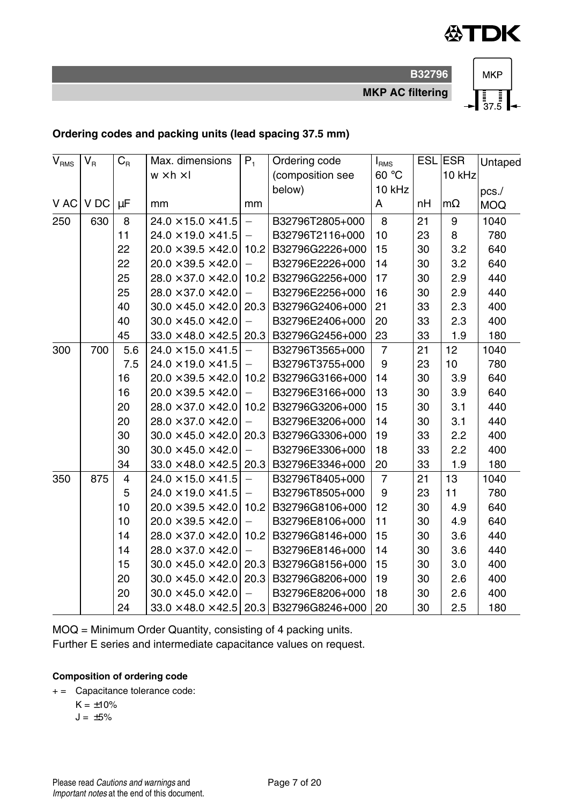

**MKP AC filtering**

**B32796**



#### **Ordering codes and packing units (lead spacing 37.5 mm)**

| $\mathsf{V}_{\texttt{RMS}}$ | $V_{B}$ | $C_R$          | Max. dimensions                | $P_1$                    | Ordering code        | I <sub>RMS</sub> |    | ESL ESR   | Untaped    |
|-----------------------------|---------|----------------|--------------------------------|--------------------------|----------------------|------------------|----|-----------|------------|
|                             |         |                | $w \times h \times I$          |                          | (composition see     | 60 °C            |    | 10 kHz    |            |
|                             |         |                |                                |                          | below)               | 10 kHz           |    |           | pcs.       |
| V AC                        | V DC    | μF             | mm                             | mm                       |                      | Α                | nН | $m\Omega$ | <b>MOQ</b> |
| 250                         | 630     | 8              | $24.0 \times 15.0 \times 41.5$ | $\qquad \qquad -$        | B32796T2805+000      | 8                | 21 | 9         | 1040       |
|                             |         | 11             | $24.0 \times 19.0 \times 41.5$ | $\overline{\phantom{0}}$ | B32796T2116+000      | 10               | 23 | 8         | 780        |
|                             |         | 22             | $20.0 \times 39.5 \times 42.0$ | 10.2                     | B32796G2226+000      | 15               | 30 | 3.2       | 640        |
|                             |         | 22             | $20.0 \times 39.5 \times 42.0$ | $\overline{\phantom{0}}$ | B32796E2226+000      | 14               | 30 | 3.2       | 640        |
|                             |         | 25             | $28.0 \times 37.0 \times 42.0$ | 10.2                     | B32796G2256+000      | 17               | 30 | 2.9       | 440        |
|                             |         | 25             | $28.0 \times 37.0 \times 42.0$ | $\overline{\phantom{0}}$ | B32796E2256+000      | 16               | 30 | 2.9       | 440        |
|                             |         | 40             | $30.0 \times 45.0 \times 42.0$ | 20.3                     | B32796G2406+000      | 21               | 33 | 2.3       | 400        |
|                             |         | 40             | $30.0 \times 45.0 \times 42.0$ | $\overline{\phantom{0}}$ | B32796E2406+000      | 20               | 33 | 2.3       | 400        |
|                             |         | 45             | $33.0 \times 48.0 \times 42.5$ | 20.3                     | B32796G2456+000      | 23               | 33 | 1.9       | 180        |
| 300                         | 700     | 5.6            | $24.0 \times 15.0 \times 41.5$ | $\equiv$                 | B32796T3565+000      | $\overline{7}$   | 21 | 12        | 1040       |
|                             |         | 7.5            | $24.0 \times 19.0 \times 41.5$ | $\overline{\phantom{0}}$ | B32796T3755+000      | 9                | 23 | 10        | 780        |
|                             |         | 16             | $20.0 \times 39.5 \times 42.0$ | 10.2                     | B32796G3166+000      | 14               | 30 | 3.9       | 640        |
|                             |         | 16             | $20.0 \times 39.5 \times 42.0$ | $\overline{\phantom{0}}$ | B32796E3166+000      | 13               | 30 | 3.9       | 640        |
|                             |         | 20             | $28.0 \times 37.0 \times 42.0$ | 10.2                     | B32796G3206+000      | 15               | 30 | 3.1       | 440        |
|                             |         | 20             | $28.0 \times 37.0 \times 42.0$ | $\overline{\phantom{0}}$ | B32796E3206+000      | 14               | 30 | 3.1       | 440        |
|                             |         | 30             | $30.0 \times 45.0 \times 42.0$ | 20.3                     | B32796G3306+000      | 19               | 33 | 2.2       | 400        |
|                             |         | 30             | $30.0 \times 45.0 \times 42.0$ |                          | B32796E3306+000      | 18               | 33 | 2.2       | 400        |
|                             |         | 34             | $33.0 \times 48.0 \times 42.5$ | 20.3                     | B32796E3346+000      | 20               | 33 | 1.9       | 180        |
| 350                         | 875     | $\overline{4}$ | $24.0 \times 15.0 \times 41.5$ | $\overline{\phantom{0}}$ | B32796T8405+000      | $\overline{7}$   | 21 | 13        | 1040       |
|                             |         | 5              | $24.0 \times 19.0 \times 41.5$ | $\overline{\phantom{0}}$ | B32796T8505+000      | 9                | 23 | 11        | 780        |
|                             |         | 10             | $20.0 \times 39.5 \times 42.0$ | 10.2                     | B32796G8106+000      | 12               | 30 | 4.9       | 640        |
|                             |         | 10             | $20.0 \times 39.5 \times 42.0$ | $\overline{\phantom{0}}$ | B32796E8106+000      | 11               | 30 | 4.9       | 640        |
|                             |         | 14             | $28.0 \times 37.0 \times 42.0$ | 10.2                     | B32796G8146+000      | 15               | 30 | 3.6       | 440        |
|                             |         | 14             | $28.0 \times 37.0 \times 42.0$ | $\overline{\phantom{0}}$ | B32796E8146+000      | 14               | 30 | 3.6       | 440        |
|                             |         | 15             | $30.0 \times 45.0 \times 42.0$ | 20.3                     | B32796G8156+000      | 15               | 30 | 3.0       | 400        |
|                             |         | 20             | $30.0 \times 45.0 \times 42.0$ |                          | 20.3 B32796G8206+000 | 19               | 30 | 2.6       | 400        |
|                             |         | 20             | $30.0 \times 45.0 \times 42.0$ | $\qquad \qquad -$        | B32796E8206+000      | 18               | 30 | 2.6       | 400        |
|                             |         | 24             | $33.0 \times 48.0 \times 42.5$ | 20.3                     | B32796G8246+000      | 20               | 30 | 2.5       | 180        |

MOQ = Minimum Order Quantity, consisting of 4 packing units.

Further E series and intermediate capacitance values on request.

#### **Composition of ordering code**

+ = Capacitance tolerance code:

 $K = +10%$ 

 $J = \pm 5\%$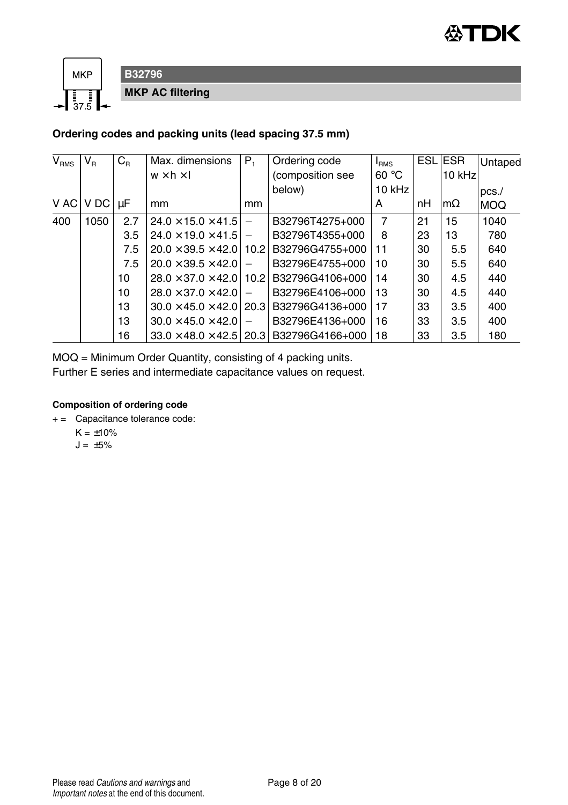



#### **B32796 MKP AC filtering**

#### **Ordering codes and packing units (lead spacing 37.5 mm)**

| V <sub>RMS</sub> | $\mathsf{V}_\mathsf{R}$ | $C_{\rm R}$ | Max. dimensions                       | $P_{1}$                  | Ordering code    | I <sub>RMS</sub> |    | <b>ESL ESR</b> | Untaped    |
|------------------|-------------------------|-------------|---------------------------------------|--------------------------|------------------|------------------|----|----------------|------------|
|                  |                         |             | $w \times h \times I$                 |                          | (composition see | 60 °C            |    | 10 kHz         |            |
|                  |                         |             |                                       |                          | below)           | 10 kHz           |    |                | $pcs$ ./   |
| V AC             | V DC                    | μF          | mm                                    | mm                       |                  | A                | nH | $m\Omega$      | <b>MOQ</b> |
| 400              | 1050                    | 2.7         | $24.0 \times 15.0 \times 41.5$        | $\overline{\phantom{0}}$ | B32796T4275+000  | 7                | 21 | 15             | 1040       |
|                  |                         | 3.5         | $24.0 \times 19.0 \times 41.5$        | $\overline{\phantom{0}}$ | B32796T4355+000  | 8                | 23 | 13             | 780        |
|                  |                         | 7.5         | $20.0 \times 39.5 \times 42.0$ 10.2   |                          | B32796G4755+000  | 11               | 30 | 5.5            | 640        |
|                  |                         | 7.5         | $20.0 \times 39.5 \times 42.0$        |                          | B32796E4755+000  | 10               | 30 | 5.5            | 640        |
|                  |                         | 10          | $28.0 \times 37.0 \times 42.0$ 10.2   |                          | B32796G4106+000  | 14               | 30 | 4.5            | 440        |
|                  |                         | 10          | $28.0 \times 37.0 \times 42.0$        |                          | B32796E4106+000  | 13               | 30 | 4.5            | 440        |
|                  |                         | 13          | $30.0 \times 45.0 \times 42.0$   20.3 |                          | B32796G4136+000  | 17               | 33 | 3.5            | 400        |
|                  |                         | 13          | $30.0 \times 45.0 \times 42.0$        | $\overline{\phantom{0}}$ | B32796E4136+000  | 16               | 33 | 3.5            | 400        |
|                  |                         | 16          | $33.0 \times 48.0 \times 42.5$        | 20.3                     | B32796G4166+000  | 18               | 33 | 3.5            | 180        |

MOQ = Minimum Order Quantity, consisting of 4 packing units.

Further E series and intermediate capacitance values on request.

#### **Composition of ordering code**

- + = Capacitance tolerance code:
	- $K = +10%$
	- $J = \pm 5\%$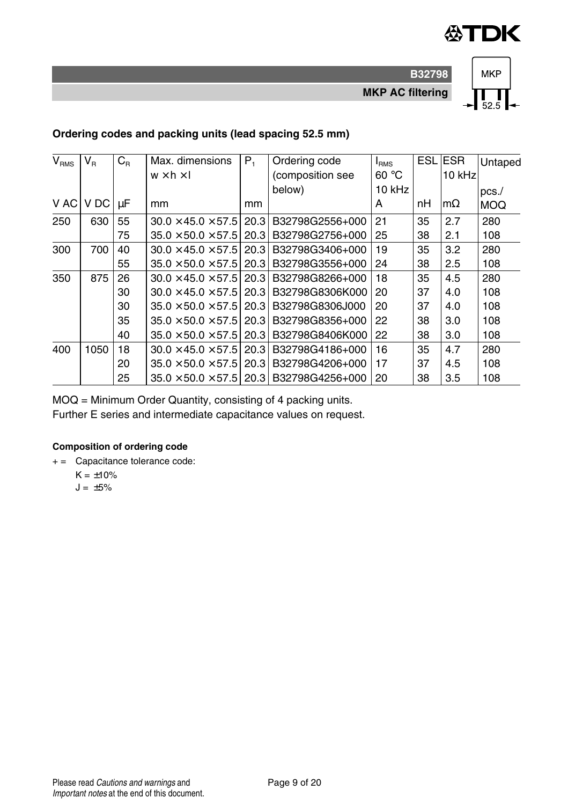

**MKP AC filtering**

**B32798**



#### **Ordering codes and packing units (lead spacing 52.5 mm)**

| V <sub>RMS</sub> | $V_{\rm R}$ | $C_{\rm R}$ | Max. dimensions                | $P_1$ | Ordering code                                           | <b>I</b> RMS | <b>ESL</b> | <b>IESR</b> | Untaped    |
|------------------|-------------|-------------|--------------------------------|-------|---------------------------------------------------------|--------------|------------|-------------|------------|
|                  |             |             | $w \times h \times I$          |       | (composition see                                        | 60 °C        |            | 10 kHz      |            |
|                  |             |             |                                |       | below)                                                  | 10 kHz       |            |             | $pcs$ ./   |
| V AC             | V DC        | μF          | mm                             | mm    |                                                         | A            | nН         | $m\Omega$   | <b>MOQ</b> |
| 250              | 630         | 55          | $30.0 \times 45.0 \times 57.5$ | 20.3  | B32798G2556+000                                         | 21           | 35         | 2.7         | 280        |
|                  |             | 75          | $35.0 \times 50.0 \times 57.5$ | 20.3  | B32798G2756+000                                         | 25           | 38         | 2.1         | 108        |
| 300              | 700         | 40          | $30.0 \times 45.0 \times 57.5$ |       | 20.3 B32798G3406+000                                    | 19           | 35         | 3.2         | 280        |
|                  |             | 55          | $35.0 \times 50.0 \times 57.5$ |       | 20.3 B32798G3556+000                                    | 24           | 38         | 2.5         | 108        |
| 350              | 875         | 26          | $30.0 \times 45.0 \times 57.5$ |       | 20.3 B32798G8266+000                                    | 18           | 35         | 4.5         | 280        |
|                  |             | 30          |                                |       | $30.0 \times 45.0 \times 57.5$   20.3   B32798G8306K000 | 20           | 37         | 4.0         | 108        |
|                  |             | 30          | $35.0 \times 50.0 \times 57.5$ |       | 20.3 B32798G8306J000                                    | 20           | 37         | 4.0         | 108        |
|                  |             | 35          | $35.0 \times 50.0 \times 57.5$ |       | 20.3 B32798G8356+000                                    | 22           | 38         | 3.0         | 108        |
|                  |             | 40          | $35.0 \times 50.0 \times 57.5$ | 20.3  | B32798G8406K000                                         | 22           | 38         | 3.0         | 108        |
| 400              | 1050        | 18          | $30.0 \times 45.0 \times 57.5$ |       | 20.3 B32798G4186+000                                    | 16           | 35         | 4.7         | 280        |
|                  |             | 20          | $35.0 \times 50.0 \times 57.5$ |       | 20.3 B32798G4206+000                                    | 17           | 37         | 4.5         | 108        |
|                  |             | 25          | $35.0 \times 50.0 \times 57.5$ |       | 20.3 B32798G4256+000                                    | 20           | 38         | 3.5         | 108        |

MOQ = Minimum Order Quantity, consisting of 4 packing units.

Further E series and intermediate capacitance values on request.

#### **Composition of ordering code**

+ = Capacitance tolerance code:

 $K = \pm 10\%$ 

 $J = \pm 5\%$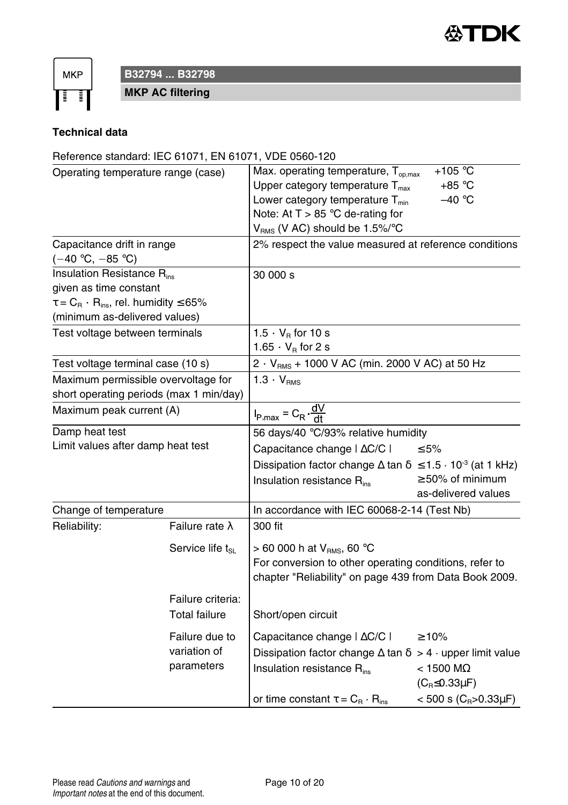

**MKP** Ŧ

**B32794 ... B32798**

**MKP AC filtering**

#### **Technical data**

#### Reference standard: IEC 61071, EN 61071, VDE 0560-120

| Operating temperature range (case)                               |                        | Max. operating temperature, T <sub>op,max</sub>                                   | $+105 °C$                          |
|------------------------------------------------------------------|------------------------|-----------------------------------------------------------------------------------|------------------------------------|
|                                                                  |                        | Upper category temperature $T_{max}$                                              | $+85 °C$                           |
|                                                                  |                        | Lower category temperature T <sub>min</sub>                                       | $-40 °C$                           |
|                                                                  |                        | Note: At $T > 85$ °C de-rating for                                                |                                    |
|                                                                  |                        | $V_{RMS}$ (V AC) should be 1.5%/°C                                                |                                    |
| Capacitance drift in range                                       |                        | 2% respect the value measured at reference conditions                             |                                    |
| (−40 °C, −85 °C)                                                 |                        |                                                                                   |                                    |
| Insulation Resistance Rins                                       |                        | 30 000 s                                                                          |                                    |
| given as time constant                                           |                        |                                                                                   |                                    |
| $\tau = C_{\rm R} \cdot R_{\rm ins}$ , rel. humidity $\leq 65\%$ |                        |                                                                                   |                                    |
| (minimum as-delivered values)                                    |                        |                                                                                   |                                    |
| Test voltage between terminals                                   |                        | $1.5 \cdot V_B$ for 10 s                                                          |                                    |
|                                                                  |                        | 1.65 $\cdot$ V <sub>R</sub> for 2 s                                               |                                    |
| Test voltage terminal case (10 s)                                |                        | 2 · V <sub>RMS</sub> + 1000 V AC (min. 2000 V AC) at 50 Hz                        |                                    |
| Maximum permissible overvoltage for                              |                        | $1.3 \cdot V_{RMS}$                                                               |                                    |
| short operating periods (max 1 min/day)                          |                        |                                                                                   |                                    |
| Maximum peak current (A)                                         |                        | $I_{P, max} = C_R \frac{dV}{dt}$                                                  |                                    |
| Damp heat test                                                   |                        | 56 days/40 °C/93% relative humidity                                               |                                    |
| Limit values after damp heat test                                |                        | Capacitance change   $\Delta$ C/C                                                 | ≤ 5%                               |
|                                                                  |                        | Dissipation factor change $\Delta$ tan $\delta \leq 1.5 \cdot 10^{-3}$ (at 1 kHz) |                                    |
|                                                                  |                        | Insulation resistance R <sub>ins</sub>                                            | $\geq$ 50% of minimum              |
|                                                                  |                        |                                                                                   | as-delivered values                |
| Change of temperature                                            |                        | In accordance with IEC 60068-2-14 (Test Nb)                                       |                                    |
| Reliability:                                                     | Failure rate $\lambda$ | 300 fit                                                                           |                                    |
|                                                                  | Service life ts        | > 60 000 h at $V_{RMS}$ , 60 °C                                                   |                                    |
|                                                                  |                        | For conversion to other operating conditions, refer to                            |                                    |
|                                                                  |                        | chapter "Reliability" on page 439 from Data Book 2009.                            |                                    |
|                                                                  |                        |                                                                                   |                                    |
|                                                                  | Failure criteria:      |                                                                                   |                                    |
|                                                                  | <b>Total failure</b>   | Short/open circuit                                                                |                                    |
|                                                                  | Failure due to         | Capacitance change   $\Delta$ C/C                                                 | $\geq 10\%$                        |
|                                                                  | variation of           | Dissipation factor change $\Delta$ tan $\delta > 4 \cdot$ upper limit value       |                                    |
|                                                                  | parameters             | Insulation resistance R <sub>ins</sub>                                            | $<$ 1500 M $\Omega$                |
|                                                                  |                        |                                                                                   | $(C_R \leq 0.33\mu F)$             |
|                                                                  |                        | or time constant $\tau = C_{\rm B} \cdot R_{\rm ins}$                             | $<$ 500 s (C <sub>R</sub> >0.33µF) |
|                                                                  |                        |                                                                                   |                                    |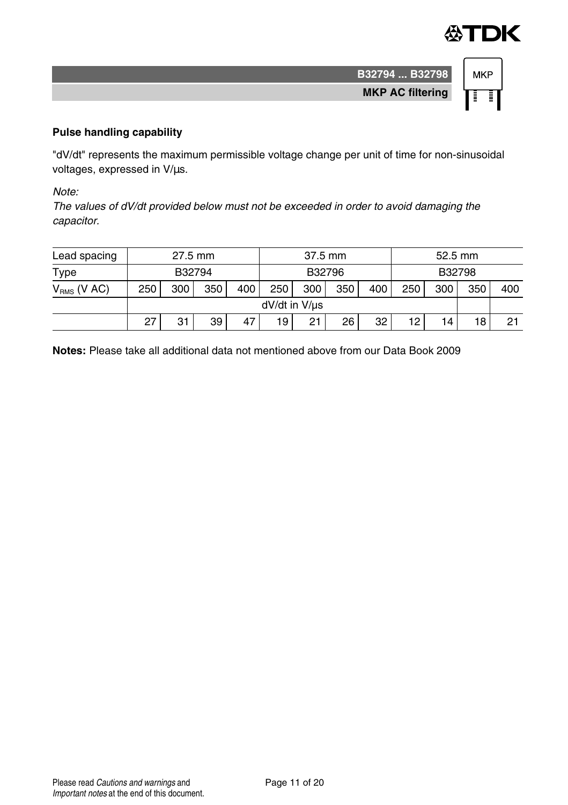



#### **Pulse handling capability**

"dV/dt" represents the maximum permissible voltage change per unit of time for non-sinusoidal voltages, expressed in V/µs.

Note:

The values of dV/dt provided below must not be exceeded in order to avoid damaging the capacitor.

| Lead spacing     | 27.5 mm |     |        | 37.5 mm       |     |     | 52.5 mm |     |     |     |     |     |
|------------------|---------|-----|--------|---------------|-----|-----|---------|-----|-----|-----|-----|-----|
| Type             |         |     | B32794 | B32796        |     |     | B32798  |     |     |     |     |     |
| $V_{RMS}$ (V AC) | 250     | 300 | 350    | 400           | 250 | 300 | 350     | 400 | 250 | 300 | 350 | 400 |
|                  |         |     |        | dV/dt in V/us |     |     |         |     |     |     |     |     |
|                  | 27      | 31  | 39     | 47            | 19  | 21  | 26      | 32  | 12  | 14  | 18  | 21  |

**Notes:** Please take all additional data not mentioned above from our Data Book 2009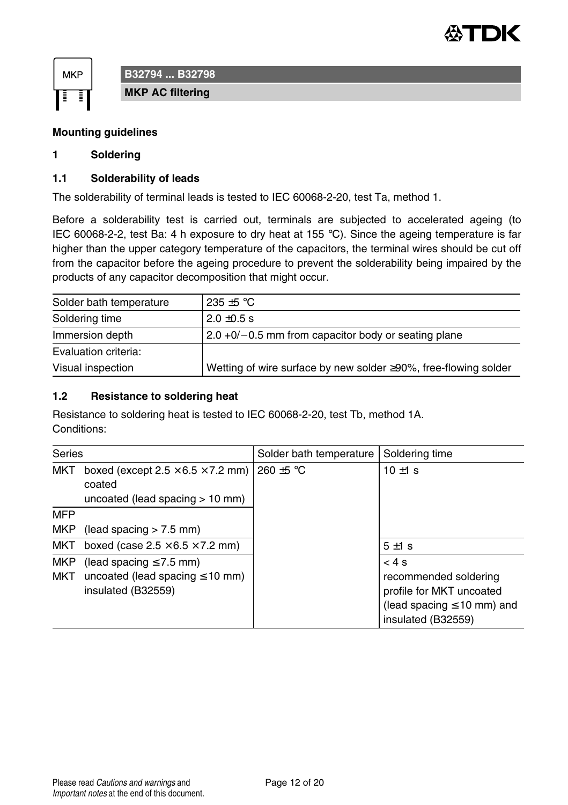



**B32794 ... B32798**

**MKP AC filtering**

#### **Mounting guidelines**

#### **1 Soldering**

#### **1.1 Solderability of leads**

The solderability of terminal leads is tested to IEC 60068-2-20, test Ta, method 1.

Before a solderability test is carried out, terminals are subjected to accelerated ageing (to IEC 60068-2-2, test Ba: 4 h exposure to dry heat at 155  $^{\circ}$ C). Since the ageing temperature is far higher than the upper category temperature of the capacitors, the terminal wires should be cut off from the capacitor before the ageing procedure to prevent the solderability being impaired by the products of any capacitor decomposition that might occur.

| Solder bath temperature | 235 $\pm$ 5 °C                                                          |
|-------------------------|-------------------------------------------------------------------------|
| Soldering time          | $2.0 \pm 0.5$ s                                                         |
| Immersion depth         | $2.0 + 0/-0.5$ mm from capacitor body or seating plane                  |
| Evaluation criteria:    |                                                                         |
| Visual inspection       | Wetting of wire surface by new solder $\geq 90\%$ , free-flowing solder |

#### **1.2 Resistance to soldering heat**

Resistance to soldering heat is tested to IEC 60068-2-20, test Tb, method 1A. Conditions:

| Series            |                                                                                              | Solder bath temperature | Soldering time                                                                                                     |  |
|-------------------|----------------------------------------------------------------------------------------------|-------------------------|--------------------------------------------------------------------------------------------------------------------|--|
| MKT               | boxed (except $2.5 \times 6.5 \times 7.2$ mm)<br>coated<br>uncoated (lead spacing $> 10$ mm) | 260 $\pm$ 5 °C          | $10 \pm 1$ s                                                                                                       |  |
| <b>MFP</b>        |                                                                                              |                         |                                                                                                                    |  |
| MKP               | (lead spacing $> 7.5$ mm)                                                                    |                         |                                                                                                                    |  |
| MKT               | boxed (case $2.5 \times 6.5 \times 7.2$ mm)                                                  |                         | $5±1$ s                                                                                                            |  |
| <b>MKP</b><br>MKT | (lead spacing $\leq 7.5$ mm)<br>uncoated (lead spacing $\leq 10$ mm)<br>insulated (B32559)   |                         | < 4s<br>recommended soldering<br>profile for MKT uncoated<br>(lead spacing $\leq 10$ mm) and<br>insulated (B32559) |  |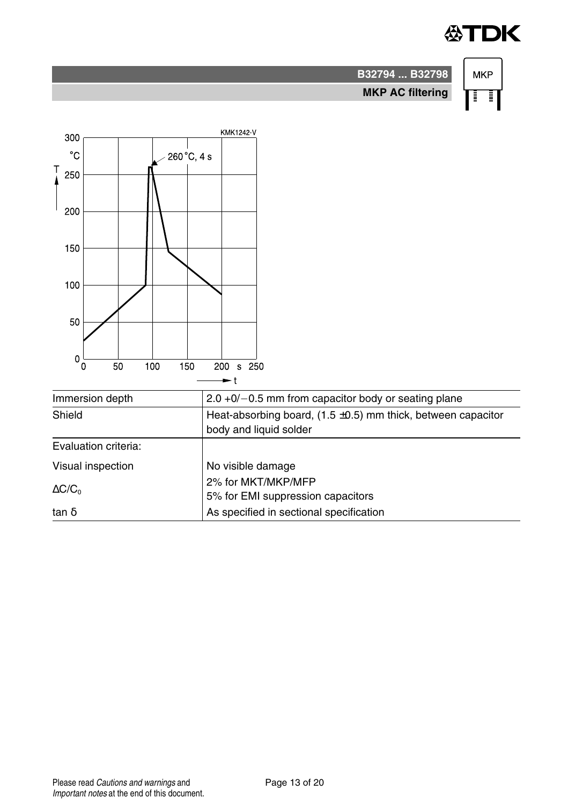## **公TDK**

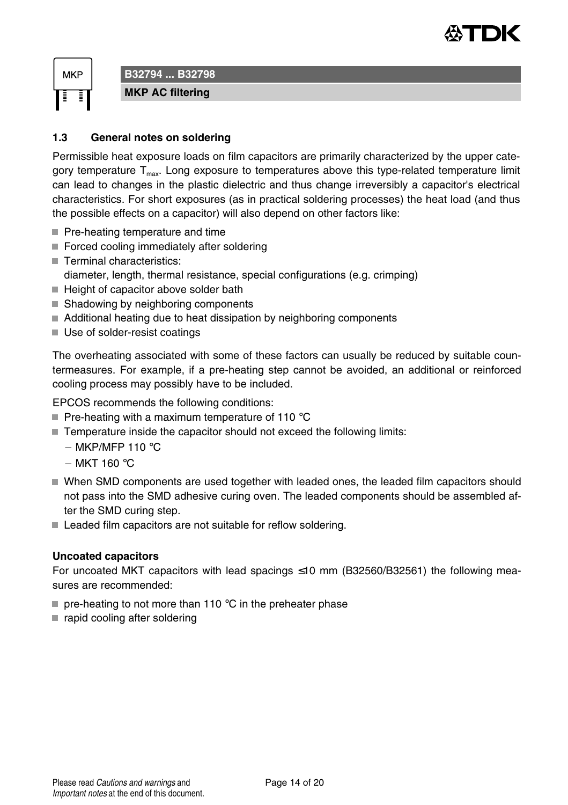



### **B32794 ... B32798**

**MKP AC filtering**

#### **1.3 General notes on soldering**

Permissible heat exposure loads on film capacitors are primarily characterized by the upper category temperature  $T<sub>max</sub>$ . Long exposure to temperatures above this type-related temperature limit can lead to changes in the plastic dielectric and thus change irreversibly a capacitor's electrical characteristics. For short exposures (as in practical soldering processes) the heat load (and thus the possible effects on a capacitor) will also depend on other factors like:

- Pre-heating temperature and time
- Forced cooling immediately after soldering
- Terminal characteristics:
- diameter, length, thermal resistance, special configurations (e.g. crimping)
- $\blacksquare$  Height of capacitor above solder bath
- Shadowing by neighboring components
- Additional heating due to heat dissipation by neighboring components
- Use of solder-resist coatings

The overheating associated with some of these factors can usually be reduced by suitable countermeasures. For example, if a pre-heating step cannot be avoided, an additional or reinforced cooling process may possibly have to be included.

EPCOS recommends the following conditions:

- Pre-heating with a maximum temperature of 110  $^{\circ}$ C
- Temperature inside the capacitor should not exceed the following limits:
	- $-MKP/MFP 110 °C$
	- $-$  MKT 160 $^{\circ}$ C
- When SMD components are used together with leaded ones, the leaded film capacitors should not pass into the SMD adhesive curing oven. The leaded components should be assembled after the SMD curing step.
- Leaded film capacitors are not suitable for reflow soldering.

#### **Uncoated capacitors**

For uncoated MKT capacitors with lead spacings  $\leq 10$  mm (B32560/B32561) the following measures are recommended:

- $\blacksquare$  pre-heating to not more than 110 °C in the preheater phase
- $\blacksquare$  rapid cooling after soldering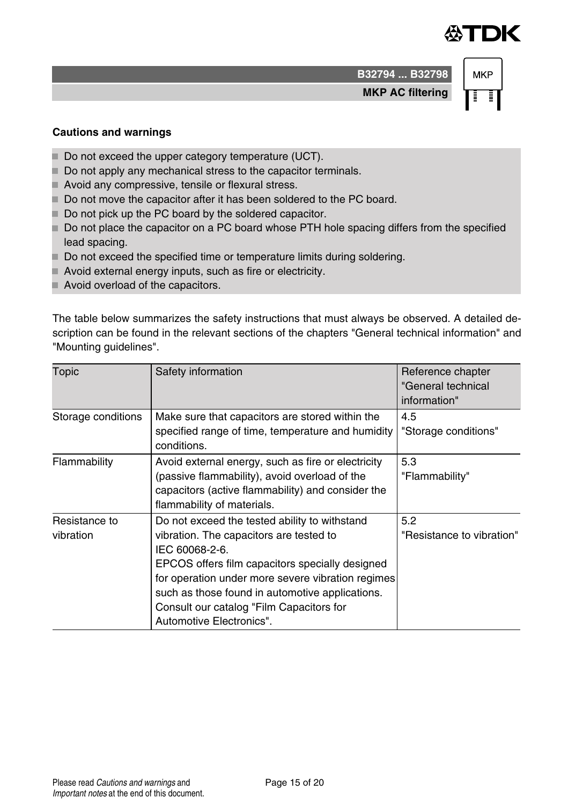## ÆTDK

**B32794 ... B32798 MKP AC filtering**

# **MKP**

#### **Cautions and warnings**

- Do not exceed the upper category temperature (UCT).
- Do not apply any mechanical stress to the capacitor terminals.
- Avoid any compressive, tensile or flexural stress.
- Do not move the capacitor after it has been soldered to the PC board.
- Do not pick up the PC board by the soldered capacitor.
- Do not place the capacitor on a PC board whose PTH hole spacing differs from the specified lead spacing.
- Do not exceed the specified time or temperature limits during soldering.
- Avoid external energy inputs, such as fire or electricity.
- Avoid overload of the capacitors.

The table below summarizes the safety instructions that must always be observed. A detailed description can be found in the relevant sections of the chapters "General technical information" and "Mounting guidelines".

| Topic                      | Safety information                                                                                                                                                                                                                                                                                                                            | Reference chapter<br>"General technical<br>information" |
|----------------------------|-----------------------------------------------------------------------------------------------------------------------------------------------------------------------------------------------------------------------------------------------------------------------------------------------------------------------------------------------|---------------------------------------------------------|
| Storage conditions         | Make sure that capacitors are stored within the<br>specified range of time, temperature and humidity<br>conditions.                                                                                                                                                                                                                           | 4.5<br>"Storage conditions"                             |
| Flammability               | Avoid external energy, such as fire or electricity<br>(passive flammability), avoid overload of the<br>capacitors (active flammability) and consider the<br>flammability of materials.                                                                                                                                                        | 5.3<br>"Flammability"                                   |
| Resistance to<br>vibration | Do not exceed the tested ability to withstand<br>vibration. The capacitors are tested to<br>IEC 60068-2-6.<br>EPCOS offers film capacitors specially designed<br>for operation under more severe vibration regimes<br>such as those found in automotive applications.<br>Consult our catalog "Film Capacitors for<br>Automotive Electronics". | 5.2<br>"Resistance to vibration"                        |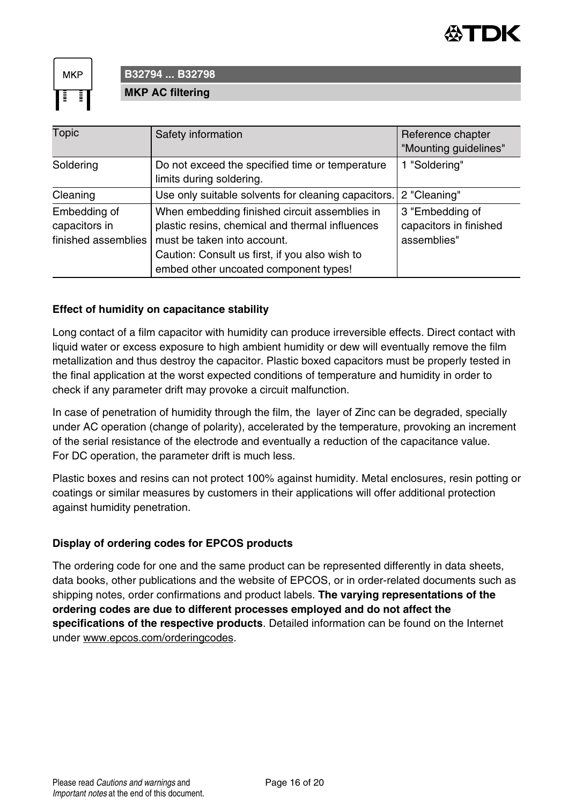

**MKP** 

#### **B32794 ... B32798 MKP AC filtering**

| <b>Topic</b>                                         | Safety information                                                                                                                                                                                                         | Reference chapter<br>"Mounting guidelines"               |
|------------------------------------------------------|----------------------------------------------------------------------------------------------------------------------------------------------------------------------------------------------------------------------------|----------------------------------------------------------|
| Soldering                                            | Do not exceed the specified time or temperature<br>limits during soldering.                                                                                                                                                | 1 "Soldering"                                            |
| Cleaning                                             | Use only suitable solvents for cleaning capacitors.                                                                                                                                                                        | 2 "Cleaning"                                             |
| Embedding of<br>capacitors in<br>finished assemblies | When embedding finished circuit assemblies in<br>plastic resins, chemical and thermal influences<br>must be taken into account.<br>Caution: Consult us first, if you also wish to<br>embed other uncoated component types! | 3 "Embedding of<br>capacitors in finished<br>assemblies" |

#### **Effect of humidity on capacitance stability**

Long contact of a film capacitor with humidity can produce irreversible effects. Direct contact with liquid water or excess exposure to high ambient humidity or dew will eventually remove the film metallization and thus destroy the capacitor. Plastic boxed capacitors must be properly tested in the final application at the worst expected conditions of temperature and humidity in order to check if any parameter drift may provoke a circuit malfunction.

In case of penetration of humidity through the film, the layer of Zinc can be degraded, specially under AC operation (change of polarity), accelerated by the temperature, provoking an increment of the serial resistance of the electrode and eventually a reduction of the capacitance value. For DC operation, the parameter drift is much less.

Plastic boxes and resins can not protect 100% against humidity. Metal enclosures, resin potting or coatings or similar measures by customers in their applications will offer additional protection against humidity penetration.

#### **Display of ordering codes for EPCOS products**

The ordering code for one and the same product can be represented differently in data sheets, data books, other publications and the website of EPCOS, or in order-related documents such as shipping notes, order confirmations and product labels. **The varying representations of the ordering codes are due to different processes employed and do not affect the specifications of the respective products**. Detailed information can be found on the Internet under www.epcos.com/orderingcodes.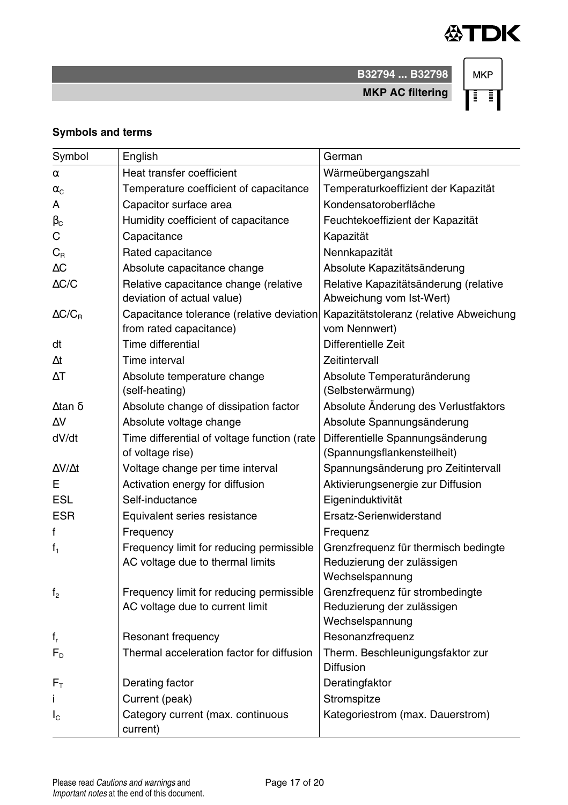

**B32794 ... B32798 MKP AC filtering**

**MKP** ि ।

#### **Symbols and terms**

| Symbol              | English                                     | German                                  |
|---------------------|---------------------------------------------|-----------------------------------------|
|                     |                                             |                                         |
| α                   | Heat transfer coefficient                   | Wärmeübergangszahl                      |
| $\alpha_{\rm C}$    | Temperature coefficient of capacitance      | Temperaturkoeffizient der Kapazität     |
| A                   | Capacitor surface area                      | Kondensatoroberfläche                   |
| $\beta_{\rm C}$     | Humidity coefficient of capacitance         | Feuchtekoeffizient der Kapazität        |
| С                   | Capacitance                                 | Kapazität                               |
| $C_{R}$             | Rated capacitance                           | Nennkapazität                           |
| ΔC                  | Absolute capacitance change                 | Absolute Kapazitätsänderung             |
| $\triangle$ C/C     | Relative capacitance change (relative       | Relative Kapazitätsänderung (relative   |
|                     | deviation of actual value)                  | Abweichung vom Ist-Wert)                |
| $\Delta C/C_R$      | Capacitance tolerance (relative deviation   | Kapazitätstoleranz (relative Abweichung |
|                     | from rated capacitance)                     | vom Nennwert)                           |
| dt                  | Time differential                           | Differentielle Zeit                     |
| Δt                  | Time interval                               | Zeitintervall                           |
| ΛT                  | Absolute temperature change                 | Absolute Temperaturänderung             |
|                     | (self-heating)                              | (Selbsterwärmung)                       |
| ∆tan δ              | Absolute change of dissipation factor       | Absolute Änderung des Verlustfaktors    |
| ΔV                  | Absolute voltage change                     | Absolute Spannungsänderung              |
| dV/dt               | Time differential of voltage function (rate | Differentielle Spannungsänderung        |
|                     | of voltage rise)                            | (Spannungsflankensteilheit)             |
| $\Delta V/\Delta t$ | Voltage change per time interval            | Spannungsänderung pro Zeitintervall     |
| F.                  | Activation energy for diffusion             | Aktivierungsenergie zur Diffusion       |
| <b>ESL</b>          | Self-inductance                             | Eigeninduktivität                       |
| <b>ESR</b>          | Equivalent series resistance                | Ersatz-Serienwiderstand                 |
| f                   | Frequency                                   | Frequenz                                |
| $f_1$               | Frequency limit for reducing permissible    | Grenzfrequenz für thermisch bedingte    |
|                     | AC voltage due to thermal limits            | Reduzierung der zulässigen              |
|                     |                                             | Wechselspannung                         |
| f <sub>2</sub>      | Frequency limit for reducing permissible    | Grenzfrequenz für strombedingte         |
|                     | AC voltage due to current limit             | Reduzierung der zulässigen              |
|                     |                                             | Wechselspannung                         |
| $f_r$               | Resonant frequency                          | Resonanzfrequenz                        |
| F <sub>D</sub>      | Thermal acceleration factor for diffusion   | Therm. Beschleunigungsfaktor zur        |
|                     |                                             | <b>Diffusion</b>                        |
| $F_{\rm T}$         | Derating factor                             | Deratingfaktor                          |
|                     | Current (peak)                              | Stromspitze                             |
| $I_{\rm C}$         | Category current (max. continuous           | Kategoriestrom (max. Dauerstrom)        |
|                     | current)                                    |                                         |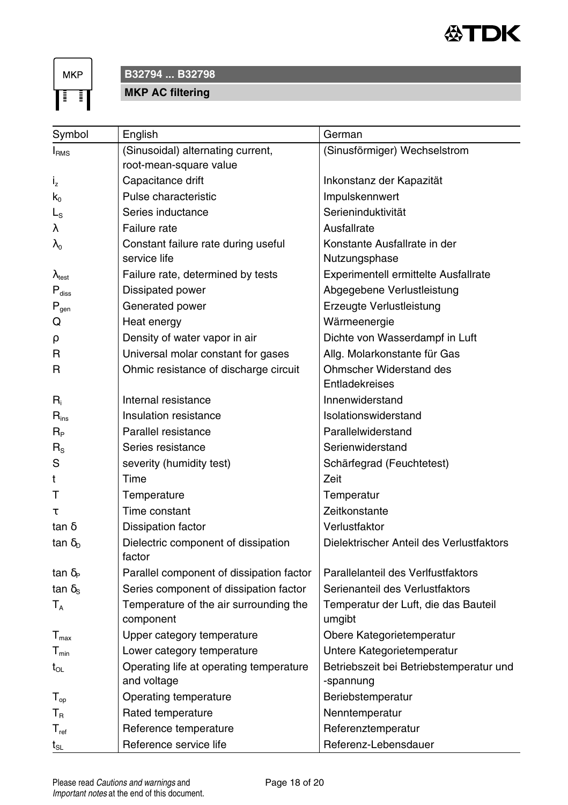

**MKP** ाग

#### **B32794 ... B32798**

**MKP AC filtering**

| Symbol                         | English                                       | German                                   |
|--------------------------------|-----------------------------------------------|------------------------------------------|
| I <sub>RMS</sub>               | (Sinusoidal) alternating current,             | (Sinusförmiger) Wechselstrom             |
|                                | root-mean-square value                        |                                          |
| $i_{z}$                        | Capacitance drift                             | Inkonstanz der Kapazität                 |
| $k_0$                          | Pulse characteristic                          | Impulskennwert                           |
| L <sub>S</sub>                 | Series inductance                             | Serieninduktivität                       |
| λ                              | Failure rate                                  | Ausfallrate                              |
| λο                             | Constant failure rate during useful           | Konstante Ausfallrate in der             |
|                                | service life                                  | Nutzungsphase                            |
| $\lambda_{\text{test}}$        | Failure rate, determined by tests             | Experimentell ermittelte Ausfallrate     |
| $P_{\text{diss}}$              | Dissipated power                              | Abgegebene Verlustleistung               |
| $P_{gen}$                      | Generated power                               | Erzeugte Verlustleistung                 |
| Q                              | Heat energy                                   | Wärmeenergie                             |
| ρ                              | Density of water vapor in air                 | Dichte von Wasserdampf in Luft           |
| R                              | Universal molar constant for gases            | Allg. Molarkonstante für Gas             |
| R                              | Ohmic resistance of discharge circuit         | <b>Ohmscher Widerstand des</b>           |
|                                |                                               | Entladekreises                           |
| $R_i$                          | Internal resistance                           | Innenwiderstand                          |
| $R_{inc}$                      | Insulation resistance                         | Isolationswiderstand                     |
| $R_{\rm p}$                    | Parallel resistance                           | Parallelwiderstand                       |
| $R_{\rm S}$                    | Series resistance                             | Serienwiderstand                         |
| S                              | severity (humidity test)                      | Schärfegrad (Feuchtetest)                |
| t                              | Time                                          | Zeit                                     |
| т                              | Temperature                                   | Temperatur                               |
| τ                              | Time constant                                 | Zeitkonstante                            |
| tan $\delta$                   | Dissipation factor                            | Verlustfaktor                            |
| tan $\delta_{\rm D}$           | Dielectric component of dissipation<br>factor | Dielektrischer Anteil des Verlustfaktors |
| tan $\delta_{\rm P}$           | Parallel component of dissipation factor      | Parallelanteil des Verlfustfaktors       |
| tan $\delta_{\rm s}$           | Series component of dissipation factor        | Serienanteil des Verlustfaktors          |
| $T_A$                          | Temperature of the air surrounding the        | Temperatur der Luft, die das Bauteil     |
|                                | component                                     | umgibt                                   |
| $T_{\text{max}}$               | Upper category temperature                    | Obere Kategorietemperatur                |
| $T_{min}$                      | Lower category temperature                    | Untere Kategorietemperatur               |
| $t_{OL}$                       | Operating life at operating temperature       | Betriebszeit bei Betriebstemperatur und  |
|                                | and voltage                                   | -spannung                                |
| $T_{op}$                       | Operating temperature                         | Beriebstemperatur                        |
| $T_R$                          | Rated temperature                             | Nenntemperatur                           |
| $T_{\text{ref}}$               | Reference temperature                         | Referenztemperatur                       |
| $t_{\scriptscriptstyle\rm SL}$ | Reference service life                        | Referenz-Lebensdauer                     |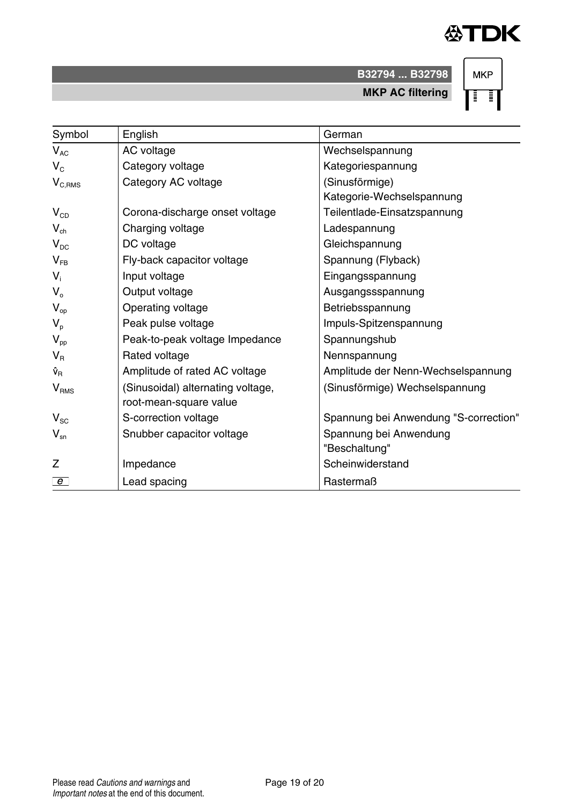

**B32794 ... B32798**

**MKP AC filtering**

**MKP** ∏∃∏

| Symbol                      | English                           | German                                |
|-----------------------------|-----------------------------------|---------------------------------------|
| $V_{AC}$                    | AC voltage                        | Wechselspannung                       |
| $V_c$                       | Category voltage                  | Kategoriespannung                     |
| $\mathsf{V}_{\text{C,RMS}}$ | Category AC voltage               | (Sinusförmige)                        |
|                             |                                   | Kategorie-Wechselspannung             |
| $V_{CD}$                    | Corona-discharge onset voltage    | Teilentlade-Einsatzspannung           |
| $V_{ch}$                    | Charging voltage                  | Ladespannung                          |
| $V_{DC}$                    | DC voltage                        | Gleichspannung                        |
| $V_{FR}$                    | Fly-back capacitor voltage        | Spannung (Flyback)                    |
| $V_i$                       | Input voltage                     | Eingangsspannung                      |
| $V_{o}$                     | Output voltage                    | Ausgangssspannung                     |
| $V_{op}$                    | Operating voltage                 | Betriebsspannung                      |
| $V_{p}$                     | Peak pulse voltage                | Impuls-Spitzenspannung                |
| $V_{pp}$                    | Peak-to-peak voltage Impedance    | Spannungshub                          |
| $V_{\rm R}$                 | Rated voltage                     | Nennspannung                          |
| Ŷ <sub>R</sub>              | Amplitude of rated AC voltage     | Amplitude der Nenn-Wechselspannung    |
| $V_{RMS}$                   | (Sinusoidal) alternating voltage, | (Sinusförmige) Wechselspannung        |
|                             | root-mean-square value            |                                       |
| $V_{\rm SC}$                | S-correction voltage              | Spannung bei Anwendung "S-correction" |
| $V_{\rm sn}$                | Snubber capacitor voltage         | Spannung bei Anwendung                |
|                             |                                   | "Beschaltung"                         |
| Z                           | Impedance                         | Scheinwiderstand                      |
| $e^-$                       | Lead spacing                      | Rastermaß                             |